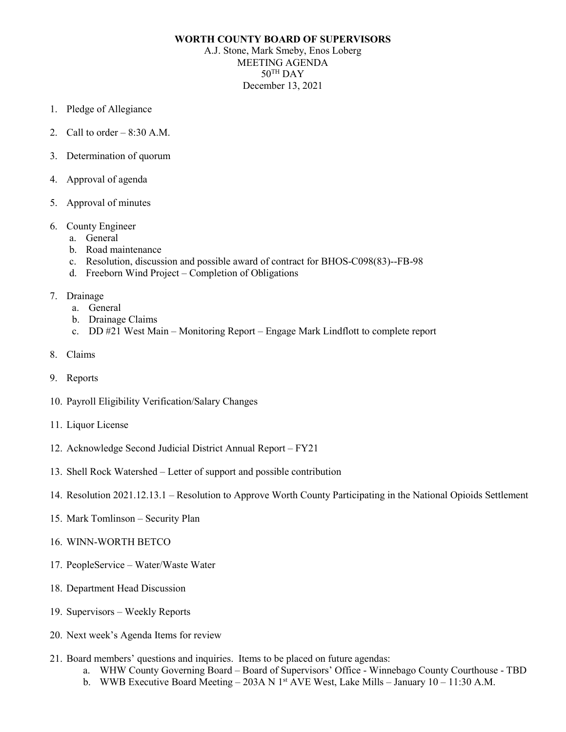## **WORTH COUNTY BOARD OF SUPERVISORS**

A.J. Stone, Mark Smeby, Enos Loberg MEETING AGENDA  $50^{\text{TH}}$  DAY December 13, 2021

- 1. Pledge of Allegiance
- 2. Call to order  $-8:30$  A.M.
- 3. Determination of quorum
- 4. Approval of agenda
- 5. Approval of minutes
- 6. County Engineer
	- a. General
	- b. Road maintenance
	- c. Resolution, discussion and possible award of contract for BHOS-C098(83)--FB-98
	- d. Freeborn Wind Project Completion of Obligations
- 7. Drainage
	- a. General
	- b. Drainage Claims
	- c. DD #21 West Main Monitoring Report Engage Mark Lindflott to complete report
- 8. Claims
- 9. Reports
- 10. Payroll Eligibility Verification/Salary Changes
- 11. Liquor License
- 12. Acknowledge Second Judicial District Annual Report FY21
- 13. Shell Rock Watershed Letter of support and possible contribution
- 14. Resolution 2021.12.13.1 Resolution to Approve Worth County Participating in the National Opioids Settlement
- 15. Mark Tomlinson Security Plan
- 16. WINN-WORTH BETCO
- 17. PeopleService Water/Waste Water
- 18. Department Head Discussion
- 19. Supervisors Weekly Reports
- 20. Next week's Agenda Items for review
- 21. Board members' questions and inquiries. Items to be placed on future agendas:
	- a. WHW County Governing Board Board of Supervisors' Office Winnebago County Courthouse TBD
	- b. WWB Executive Board Meeting 203A N 1<sup>st</sup> AVE West, Lake Mills January 10 11:30 A.M.